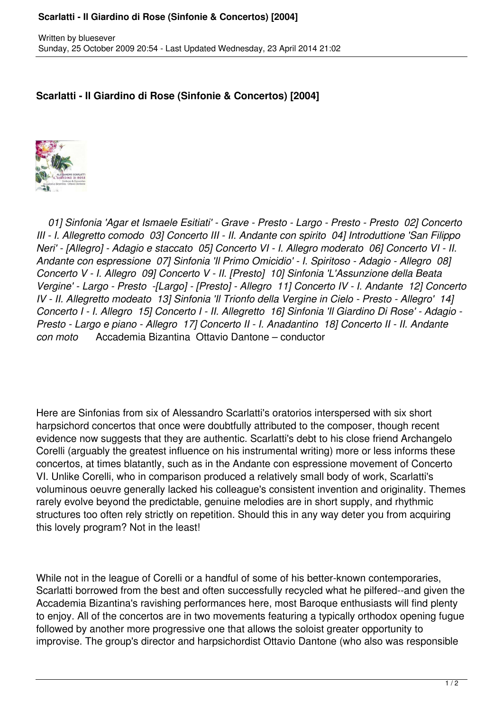## **Scarlatti - Il Giardino di Rose (Sinfonie & Concertos) [2004]**

## **Scarlatti - Il Giardino di Rose (Sinfonie & Concertos) [2004]**



 *01] Sinfonia 'Agar et Ismaele Esitiati' - Grave - Presto - Largo - Presto - Presto 02] Concerto III - I. Allegretto comodo 03] Concerto III - II. Andante con spirito 04] Introduttione 'San Filippo Neri' - [Allegro] - Adagio e staccato 05] Concerto VI - I. Allegro moderato 06] Concerto VI - II. Andante con espressione 07] Sinfonia 'Il Primo Omicidio' - I. Spiritoso - Adagio - Allegro 08] Concerto V - I. Allegro 09] Concerto V - II. [Presto] 10] Sinfonia 'L'Assunzione della Beata Vergine' - Largo - Presto -[Largo] - [Presto] - Allegro 11] Concerto IV - I. Andante 12] Concerto IV - II. Allegretto modeato 13] Sinfonia 'Il Trionfo della Vergine in Cielo - Presto - Allegro' 14] Concerto I - I. Allegro 15] Concerto I - II. Allegretto 16] Sinfonia 'Il Giardino Di Rose' - Adagio - Presto - Largo e piano - Allegro 17] Concerto II - I. Anadantino 18] Concerto II - II. Andante con moto* Accademia Bizantina Ottavio Dantone – conductor

Here are Sinfonias from six of Alessandro Scarlatti's oratorios interspersed with six short harpsichord concertos that once were doubtfully attributed to the composer, though recent evidence now suggests that they are authentic. Scarlatti's debt to his close friend Archangelo Corelli (arguably the greatest influence on his instrumental writing) more or less informs these concertos, at times blatantly, such as in the Andante con espressione movement of Concerto VI. Unlike Corelli, who in comparison produced a relatively small body of work, Scarlatti's voluminous oeuvre generally lacked his colleague's consistent invention and originality. Themes rarely evolve beyond the predictable, genuine melodies are in short supply, and rhythmic structures too often rely strictly on repetition. Should this in any way deter you from acquiring this lovely program? Not in the least!

While not in the league of Corelli or a handful of some of his better-known contemporaries, Scarlatti borrowed from the best and often successfully recycled what he pilfered--and given the Accademia Bizantina's ravishing performances here, most Baroque enthusiasts will find plenty to enjoy. All of the concertos are in two movements featuring a typically orthodox opening fugue followed by another more progressive one that allows the soloist greater opportunity to improvise. The group's director and harpsichordist Ottavio Dantone (who also was responsible